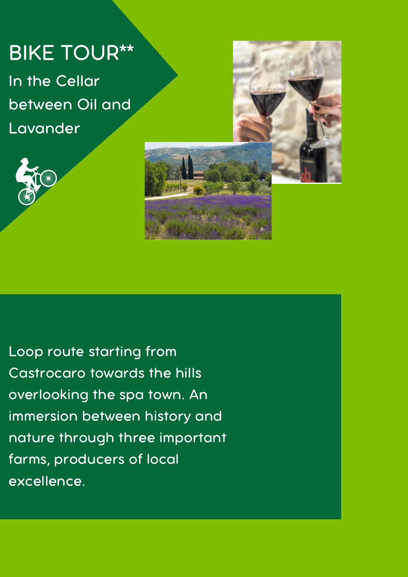## BIKE TOUR\*\*

In the Cellar between Oil and Lavander





Loop route starting from Castrocaro towards the hills overlooking the spa town. An immersion between history and nature through three important farms, producers of local excellence.